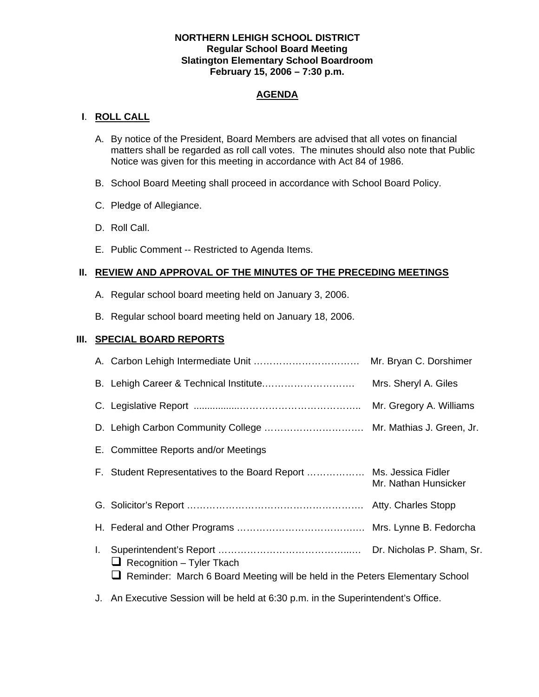### **NORTHERN LEHIGH SCHOOL DISTRICT Regular School Board Meeting Slatington Elementary School Boardroom February 15, 2006 – 7:30 p.m.**

## **AGENDA**

## **I**. **ROLL CALL**

- A. By notice of the President, Board Members are advised that all votes on financial matters shall be regarded as roll call votes. The minutes should also note that Public Notice was given for this meeting in accordance with Act 84 of 1986.
- B. School Board Meeting shall proceed in accordance with School Board Policy.
- C. Pledge of Allegiance.
- D. Roll Call.
- E. Public Comment -- Restricted to Agenda Items.

## **II. REVIEW AND APPROVAL OF THE MINUTES OF THE PRECEDING MEETINGS**

- A. Regular school board meeting held on January 3, 2006.
- B. Regular school board meeting held on January 18, 2006.

## **III. SPECIAL BOARD REPORTS**

|     |                                                                                                                  | Mrs. Sheryl A. Giles |
|-----|------------------------------------------------------------------------------------------------------------------|----------------------|
|     |                                                                                                                  |                      |
|     | D. Lehigh Carbon Community College  Mr. Mathias J. Green, Jr.                                                    |                      |
|     | E. Committee Reports and/or Meetings                                                                             |                      |
|     | F. Student Representatives to the Board Report  Ms. Jessica Fidler                                               | Mr. Nathan Hunsicker |
|     |                                                                                                                  |                      |
|     |                                                                                                                  |                      |
| I., | $\Box$ Recognition – Tyler Tkach<br>Reminder: March 6 Board Meeting will be held in the Peters Elementary School |                      |

J. An Executive Session will be held at 6:30 p.m. in the Superintendent's Office.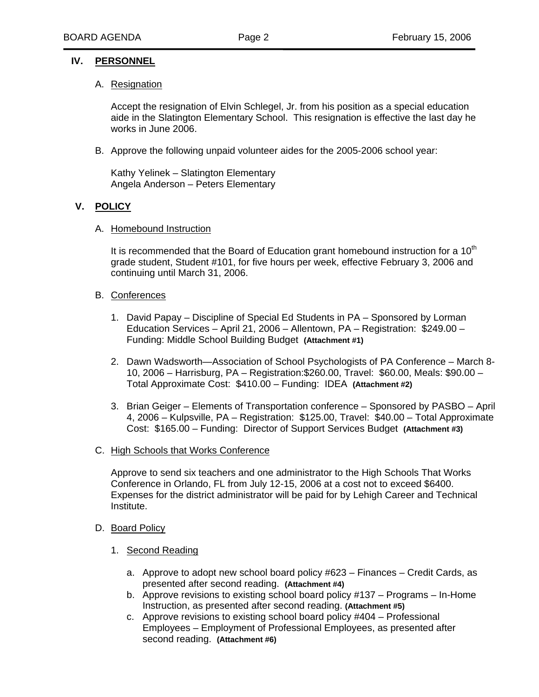### **IV. PERSONNEL**

#### A. Resignation

Accept the resignation of Elvin Schlegel, Jr. from his position as a special education aide in the Slatington Elementary School. This resignation is effective the last day he works in June 2006.

B. Approve the following unpaid volunteer aides for the 2005-2006 school year:

 Kathy Yelinek – Slatington Elementary Angela Anderson – Peters Elementary

## **V. POLICY**

A. Homebound Instruction

It is recommended that the Board of Education grant homebound instruction for a  $10<sup>th</sup>$  grade student, Student #101, for five hours per week, effective February 3, 2006 and continuing until March 31, 2006.

#### B. Conferences

- 1. David Papay Discipline of Special Ed Students in PA Sponsored by Lorman Education Services – April 21, 2006 – Allentown, PA – Registration: \$249.00 – Funding: Middle School Building Budget **(Attachment #1)**
- 2. Dawn Wadsworth—Association of School Psychologists of PA Conference March 8- 10, 2006 – Harrisburg, PA – Registration:\$260.00, Travel: \$60.00, Meals: \$90.00 – Total Approximate Cost: \$410.00 – Funding: IDEA **(Attachment #2)**
- 3. Brian Geiger Elements of Transportation conference Sponsored by PASBO April 4, 2006 – Kulpsville, PA – Registration: \$125.00, Travel: \$40.00 – Total Approximate Cost: \$165.00 – Funding: Director of Support Services Budget **(Attachment #3)**

#### C. High Schools that Works Conference

Approve to send six teachers and one administrator to the High Schools That Works Conference in Orlando, FL from July 12-15, 2006 at a cost not to exceed \$6400. Expenses for the district administrator will be paid for by Lehigh Career and Technical Institute.

#### D. Board Policy

- 1. Second Reading
	- a. Approve to adopt new school board policy #623 Finances Credit Cards, as presented after second reading. **(Attachment #4)**
	- b. Approve revisions to existing school board policy #137 Programs In-Home Instruction, as presented after second reading. **(Attachment #5)**
	- c. Approve revisions to existing school board policy #404 Professional Employees – Employment of Professional Employees, as presented after second reading. **(Attachment #6)**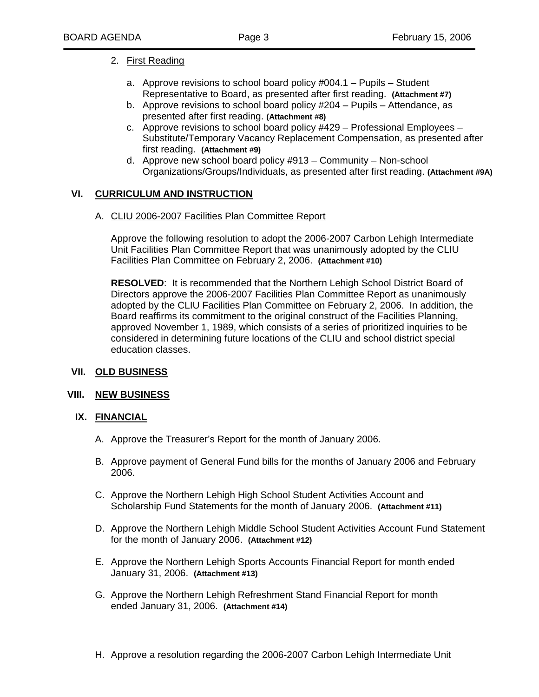## 2. First Reading

- a. Approve revisions to school board policy #004.1 Pupils Student Representative to Board, as presented after first reading. **(Attachment #7)**
- b. Approve revisions to school board policy #204 Pupils Attendance, as presented after first reading. **(Attachment #8)**
- c. Approve revisions to school board policy #429 Professional Employees Substitute/Temporary Vacancy Replacement Compensation, as presented after first reading. **(Attachment #9)**
- d. Approve new school board policy #913 Community Non-school Organizations/Groups/Individuals, as presented after first reading. **(Attachment #9A)**

## **VI. CURRICULUM AND INSTRUCTION**

A. CLIU 2006-2007 Facilities Plan Committee Report

Approve the following resolution to adopt the 2006-2007 Carbon Lehigh Intermediate Unit Facilities Plan Committee Report that was unanimously adopted by the CLIU Facilities Plan Committee on February 2, 2006. **(Attachment #10)**

**RESOLVED**: It is recommended that the Northern Lehigh School District Board of Directors approve the 2006-2007 Facilities Plan Committee Report as unanimously adopted by the CLIU Facilities Plan Committee on February 2, 2006. In addition, the Board reaffirms its commitment to the original construct of the Facilities Planning, approved November 1, 1989, which consists of a series of prioritized inquiries to be considered in determining future locations of the CLIU and school district special education classes.

## **VII. OLD BUSINESS**

## **VIII. NEW BUSINESS**

## **IX. FINANCIAL**

- A. Approve the Treasurer's Report for the month of January 2006.
- B. Approve payment of General Fund bills for the months of January 2006 and February 2006.
- C. Approve the Northern Lehigh High School Student Activities Account and Scholarship Fund Statements for the month of January 2006. **(Attachment #11)**
- D. Approve the Northern Lehigh Middle School Student Activities Account Fund Statement for the month of January 2006. **(Attachment #12)**
- E. Approve the Northern Lehigh Sports Accounts Financial Report for month ended January 31, 2006. **(Attachment #13)**
- G. Approve the Northern Lehigh Refreshment Stand Financial Report for month ended January 31, 2006. **(Attachment #14)**
- H. Approve a resolution regarding the 2006-2007 Carbon Lehigh Intermediate Unit